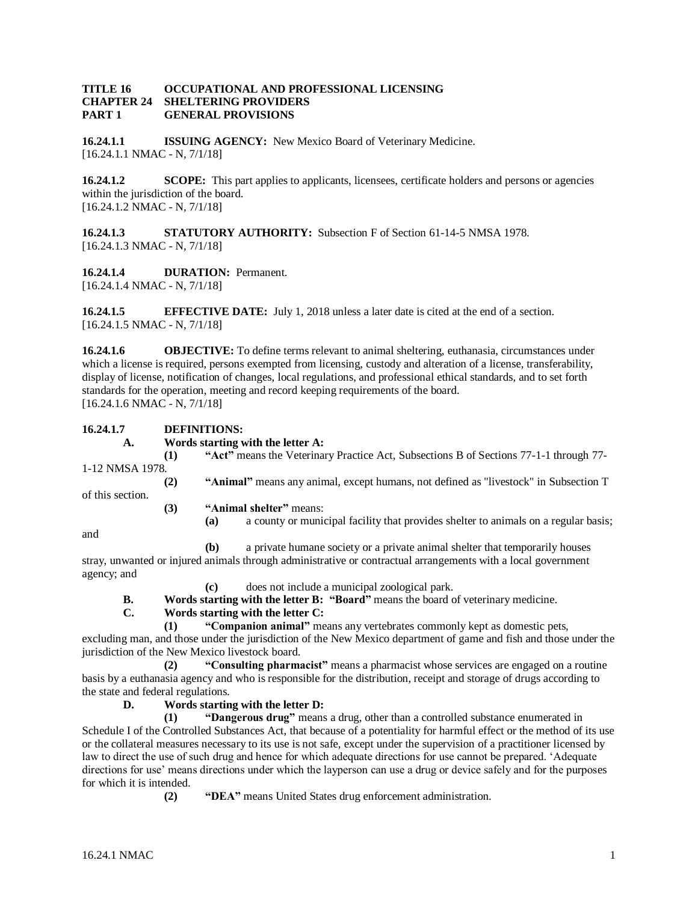#### **TITLE 16 OCCUPATIONAL AND PROFESSIONAL LICENSING CHAPTER 24 SHELTERING PROVIDERS PART 1 GENERAL PROVISIONS**

**16.24.1.1 ISSUING AGENCY:** New Mexico Board of Veterinary Medicine. [16.24.1.1 NMAC - N, 7/1/18]

**16.24.1.2 SCOPE:** This part applies to applicants, licensees, certificate holders and persons or agencies within the jurisdiction of the board. [16.24.1.2 NMAC - N, 7/1/18]

**16.24.1.3 STATUTORY AUTHORITY:** Subsection F of Section 61-14-5 NMSA 1978. [16.24.1.3 NMAC - N, 7/1/18]

**16.24.1.4 DURATION:** Permanent.

[16.24.1.4 NMAC - N, 7/1/18]

**16.24.1.5 EFFECTIVE DATE:** July 1, 2018 unless a later date is cited at the end of a section. [16.24.1.5 NMAC - N, 7/1/18]

**16.24.1.6 OBJECTIVE:** To define terms relevant to animal sheltering, euthanasia, circumstances under which a license is required, persons exempted from licensing, custody and alteration of a license, transferability, display of license, notification of changes, local regulations, and professional ethical standards, and to set forth standards for the operation, meeting and record keeping requirements of the board. [16.24.1.6 NMAC - N, 7/1/18]

## **16.24.1.7 DEFINITIONS:**

**A. Words starting with the letter A:**

|                  | $\bf(1)$ | "Act" means the Veterinary Practice Act, Subsections B of Sections 77-1-1 through 77-      |
|------------------|----------|--------------------------------------------------------------------------------------------|
| 1-12 NMSA 1978.  |          |                                                                                            |
| of this section. | (2)      | "Animal" means any animal, except humans, not defined as "livestock" in Subsection T       |
|                  | (3)      | "Animal shelter" means:                                                                    |
|                  |          | a county or municipal facility that provides shelter to animals on a regular basis;<br>(a) |

and

**(b)** a private humane society or a private animal shelter that temporarily houses stray, unwanted or injured animals through administrative or contractual arrangements with a local government agency; and

- **(c)** does not include a municipal zoological park.
- **B. Words starting with the letter B: "Board"** means the board of veterinary medicine.

## **C. Words starting with the letter C:**

**(1) "Companion animal"** means any vertebrates commonly kept as domestic pets,

excluding man, and those under the jurisdiction of the New Mexico department of game and fish and those under the jurisdiction of the New Mexico livestock board.

**(2) "Consulting pharmacist"** means a pharmacist whose services are engaged on a routine basis by a euthanasia agency and who is responsible for the distribution, receipt and storage of drugs according to the state and federal regulations.

**D. Words starting with the letter D:**

**(1) "Dangerous drug"** means a drug, other than a controlled substance enumerated in Schedule I of the Controlled Substances Act, that because of a potentiality for harmful effect or the method of its use or the collateral measures necessary to its use is not safe, except under the supervision of a practitioner licensed by law to direct the use of such drug and hence for which adequate directions for use cannot be prepared. 'Adequate directions for use' means directions under which the layperson can use a drug or device safely and for the purposes for which it is intended.

**(2) "DEA"** means United States drug enforcement administration.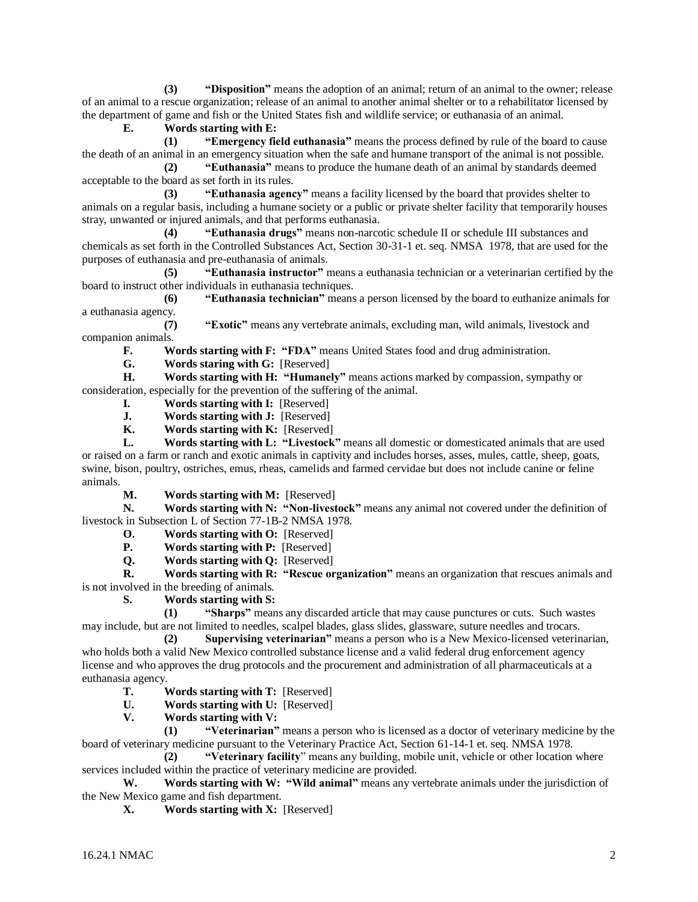**(3) "Disposition"** means the adoption of an animal; return of an animal to the owner; release of an animal to a rescue organization; release of an animal to another animal shelter or to a rehabilitator licensed by the department of game and fish or the United States fish and wildlife service; or euthanasia of an animal.

## **E. Words starting with E:**

**(1) "Emergency field euthanasia"** means the process defined by rule of the board to cause the death of an animal in an emergency situation when the safe and humane transport of the animal is not possible.

**(2) "Euthanasia"** means to produce the humane death of an animal by standards deemed acceptable to the board as set forth in its rules.

**(3) "Euthanasia agency"** means a facility licensed by the board that provides shelter to animals on a regular basis, including a humane society or a public or private shelter facility that temporarily houses stray, unwanted or injured animals, and that performs euthanasia.

**(4) "Euthanasia drugs"** means non-narcotic schedule II or schedule III substances and chemicals as set forth in the Controlled Substances Act, Section 30-31-1 et. seq. NMSA 1978, that are used for the purposes of euthanasia and pre-euthanasia of animals.

**(5) "Euthanasia instructor"** means a euthanasia technician or a veterinarian certified by the board to instruct other individuals in euthanasia techniques.

**(6) "Euthanasia technician"** means a person licensed by the board to euthanize animals for a euthanasia agency.

**(7) "Exotic"** means any vertebrate animals, excluding man, wild animals, livestock and companion animals.

**F. Words starting with F: "FDA"** means United States food and drug administration.

**G. Words staring with G:** [Reserved]

**H. Words starting with H: "Humanely"** means actions marked by compassion, sympathy or consideration, especially for the prevention of the suffering of the animal.

- **I. Words starting with I:** [Reserved]
- **J. Words starting with J:** [Reserved]
- **K. Words starting with K:** [Reserved]

**L. Words starting with L: "Livestock"** means all domestic or domesticated animals that are used or raised on a farm or ranch and exotic animals in captivity and includes horses, asses, mules, cattle, sheep, goats, swine, bison, poultry, ostriches, emus, rheas, camelids and farmed cervidae but does not include canine or feline animals.

**M. Words starting with M:** [Reserved]

**N. Words starting with N: "Non-livestock"** means any animal not covered under the definition of livestock in Subsection L of Section 77-1B-2 NMSA 1978.

- **O. Words starting with O:** [Reserved]
- **P. Words starting with P:** [Reserved]
- **Q. Words starting with Q:** [Reserved]

**R. Words starting with R: "Rescue organization"** means an organization that rescues animals and is not involved in the breeding of animals.

**S. Words starting with S:**

**(1) "Sharps"** means any discarded article that may cause punctures or cuts. Such wastes may include, but are not limited to needles, scalpel blades, glass slides, glassware, suture needles and trocars.

**(2) Supervising veterinarian"** means a person who is a New Mexico-licensed veterinarian, who holds both a valid New Mexico controlled substance license and a valid federal drug enforcement agency license and who approves the drug protocols and the procurement and administration of all pharmaceuticals at a euthanasia agency.<br>
T. V

**Words starting with T: [Reserved]** 

- **U. Words starting with U:** [Reserved]
- **V. Words starting with V:**

**(1) "Veterinarian"** means a person who is licensed as a doctor of veterinary medicine by the board of veterinary medicine pursuant to the Veterinary Practice Act, Section 61-14-1 et. seq. NMSA 1978.

**(2) "Veterinary facility**" means any building, mobile unit, vehicle or other location where services included within the practice of veterinary medicine are provided.

**W. Words starting with W: "Wild animal"** means any vertebrate animals under the jurisdiction of the New Mexico game and fish department.

**X. Words starting with X:** [Reserved]